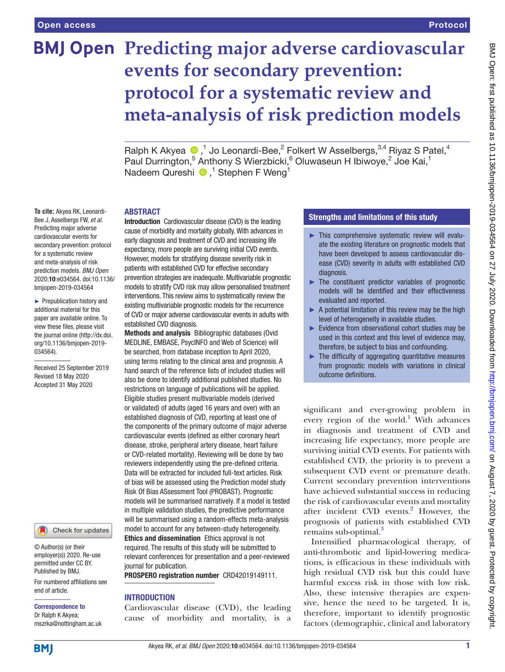**To cite:** Akyea RK, Leonardi-Bee J, Asselbergs FW, *et al*. Predicting major adverse cardiovascular events for secondary prevention: protocol for a systematic review and meta-analysis of risk prediction models. *BMJ Open* 2020;10:e034564. doi:10.1136/ bmjopen-2019-034564 ► Prepublication history and additional material for this paper are available online. To view these files, please visit the journal online (http://dx.doi. org/10.1136/bmjopen-2019-

034564).

Received 25 September 2019 Revised 18 May 2020 Accepted 31 May 2020

# **BMJ Open Predicting major adverse cardiovascular events for secondary prevention: protocol for a systematic review and meta-analysis of risk prediction models**

RalphK Akyea  $\bigcirc$ ,<sup>1</sup> Jo Leonardi-Bee,<sup>2</sup> Folkert W Asselbergs,<sup>3,4</sup> Riyaz S Patel,<sup>4</sup> Paul Durrington,<sup>5</sup> Anthony S Wierzbicki,<sup>6</sup> Oluwaseun H Ibiwoye,<sup>2</sup> Joe Kai,<sup>1</sup> NadeemQureshi <sup>1</sup>,<sup>1</sup> Stephen F Weng<sup>1</sup>

#### ABSTRACT

Introduction Cardiovascular disease (CVD) is the leading cause of morbidity and mortality globally. With advances in early diagnosis and treatment of CVD and increasing life expectancy, more people are surviving initial CVD events. However, models for stratifying disease severity risk in patients with established CVD for effective secondary prevention strategies are inadequate. Multivariable prognostic models to stratify CVD risk may allow personalised treatment interventions. This review aims to systematically review the existing multivariable prognostic models for the recurrence of CVD or major adverse cardiovascular events in adults with established CVD diagnosis.

Methods and analysis Bibliographic databases (Ovid MEDLINE, EMBASE, PsycINFO and Web of Science) will be searched, from database inception to April 2020, using terms relating to the clinical area and prognosis. A hand search of the reference lists of included studies will also be done to identify additional published studies. No restrictions on language of publications will be applied. Eligible studies present multivariable models (derived or validated) of adults (aged 16 years and over) with an established diagnosis of CVD, reporting at least one of the components of the primary outcome of major adverse cardiovascular events (defined as either coronary heart disease, stroke, peripheral artery disease, heart failure or CVD-related mortality). Reviewing will be done by two reviewers independently using the pre-defined criteria. Data will be extracted for included full-text articles. Risk of bias will be assessed using the Prediction model study Risk Of Bias ASsessment Tool (PROBAST). Prognostic models will be summarised narratively. If a model is tested in multiple validation studies, the predictive performance will be summarised using a random-effects meta-analysis model to account for any between-study heterogeneity. Ethics and dissemination Ethics approval is not required. The results of this study will be submitted to relevant conferences for presentation and a peer-reviewed journal for publication.

PROSPERO registration number CRD42019149111.

#### INTRODUCTION

Cardiovascular disease (CVD), the leading cause of morbidity and mortality, is a

### Strengths and limitations of this study

- ► This comprehensive systematic review will evaluate the existing literature on prognostic models that have been developed to assess cardiovascular disease (CVD) severity in adults with established CVD diagnosis.
- ► The constituent predictor variables of prognostic models will be identified and their effectiveness evaluated and reported.
- ► A potential limitation of this review may be the high level of heterogeneity in available studies.
- ► Evidence from observational cohort studies may be used in this context and this level of evidence may, therefore, be subject to bias and confounding.
- $\blacktriangleright$  The difficulty of aggregating quantitative measures from prognostic models with variations in clinical outcome definitions.

significant and ever-growing problem in every region of the world.<sup>[1](#page-3-0)</sup> With advances in diagnosis and treatment of CVD and increasing life expectancy, more people are surviving initial CVD events. For patients with established CVD, the priority is to prevent a subsequent CVD event or premature death. Current secondary prevention interventions have achieved substantial success in reducing the risk of cardiovascular events and mortality after incident CVD events.<sup>[2](#page-3-1)</sup> However, the prognosis of patients with established CVD remains sub-optimal.<sup>[3](#page-3-2)</sup>

Intensified pharmacological therapy, of anti-thrombotic and lipid-lowering medications, is efficacious in these individuals with high residual CVD risk but this could have harmful excess risk in those with low risk. Also, these intensive therapies are expensive, hence the need to be targeted. It is, therefore, important to identify prognostic factors (demographic, clinical and laboratory

mszrka@nottingham.ac.uk

**BMI** 

end of article.

Correspondence to Dr Ralph K Akyea;

© Author(s) (or their employer(s)) 2020. Re-use permitted under CC BY. Published by BMJ.

For numbered affiliations see

Check for updates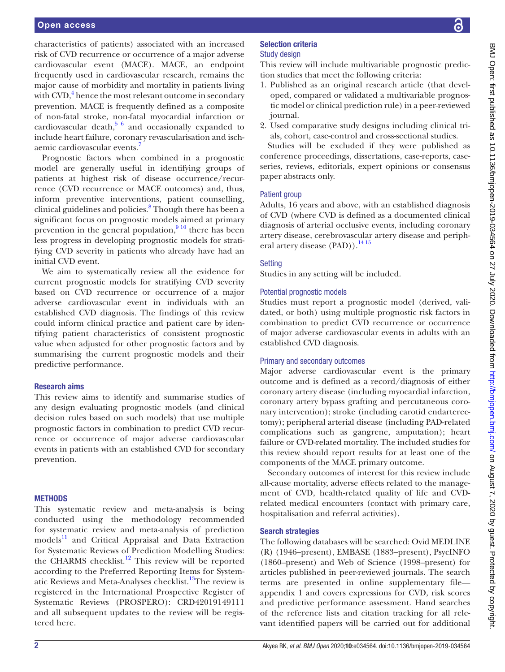characteristics of patients) associated with an increased risk of CVD recurrence or occurrence of a major adverse cardiovascular event (MACE). MACE, an endpoint frequently used in cardiovascular research, remains the major cause of morbidity and mortality in patients living with CVD,<sup>[4](#page-3-3)</sup> hence the most relevant outcome in secondary prevention. MACE is frequently defined as a composite of non-fatal stroke, non-fatal myocardial infarction or cardiovascular death, $5/6$  and occasionally expanded to include heart failure, coronary revascularisation and ischaemic cardiovascular events.<sup>7</sup>

Prognostic factors when combined in a prognostic model are generally useful in identifying groups of patients at highest risk of disease occurrence/recurrence (CVD recurrence or MACE outcomes) and, thus, inform preventive interventions, patient counselling, clinical guidelines and policies.<sup>8</sup> Though there has been a significant focus on prognostic models aimed at primary prevention in the general population, $910$  there has been less progress in developing prognostic models for stratifying CVD severity in patients who already have had an initial CVD event.

We aim to systematically review all the evidence for current prognostic models for stratifying CVD severity based on CVD recurrence or occurrence of a major adverse cardiovascular event in individuals with an established CVD diagnosis. The findings of this review could inform clinical practice and patient care by identifying patient characteristics of consistent prognostic value when adjusted for other prognostic factors and by summarising the current prognostic models and their predictive performance.

### Research aims

This review aims to identify and summarise studies of any design evaluating prognostic models (and clinical decision rules based on such models) that use multiple prognostic factors in combination to predict CVD recurrence or occurrence of major adverse cardiovascular events in patients with an established CVD for secondary prevention.

### **METHODS**

This systematic review and meta-analysis is being conducted using the methodology recommended for systematic review and meta-analysis of prediction models<sup>11</sup> and Critical Appraisal and Data Extraction for Systematic Reviews of Prediction Modelling Studies: the CHARMS checklist.<sup>12</sup> This review will be reported according to the Preferred Reporting Items for System-atic Reviews and Meta-Analyses checklist.<sup>[13](#page-3-10)</sup>The review is registered in the International Prospective Register of Systematic Reviews (PROSPERO): CRD42019149111 and all subsequent updates to the review will be registered here.

# Selection criteria

# Study design

This review will include multivariable prognostic prediction studies that meet the following criteria:

- 1. Published as an original research article (that developed, compared or validated a multivariable prognostic model or clinical prediction rule) in a peer-reviewed journal.
- 2. Used comparative study designs including clinical trials, cohort, case-control and cross-sectional studies.

Studies will be excluded if they were published as conference proceedings, dissertations, case-reports, caseseries, reviews, editorials, expert opinions or consensus paper abstracts only.

# Patient group

Adults, 16 years and above, with an established diagnosis of CVD (where CVD is defined as a documented clinical diagnosis of arterial occlusive events, including coronary artery disease, cerebrovascular artery disease and peripheral artery disease (PAD)).<sup>14 15</sup>

# Setting

Studies in any setting will be included.

# Potential prognostic models

Studies must report a prognostic model (derived, validated, or both) using multiple prognostic risk factors in combination to predict CVD recurrence or occurrence of major adverse cardiovascular events in adults with an established CVD diagnosis.

### Primary and secondary outcomes

Major adverse cardiovascular event is the primary outcome and is defined as a record/diagnosis of either coronary artery disease (including myocardial infarction, coronary artery bypass grafting and percutaneous coronary intervention); stroke (including carotid endarterectomy); peripheral arterial disease (including PAD-related complications such as gangrene, amputation); heart failure or CVD-related mortality. The included studies for this review should report results for at least one of the components of the MACE primary outcome.

Secondary outcomes of interest for this review include all-cause mortality, adverse effects related to the management of CVD, health-related quality of life and CVDrelated medical encounters (contact with primary care, hospitalisation and referral activities).

# Search strategies

The following databases will be searched: Ovid MEDLINE (R) (1946–present), EMBASE (1883–present), PsycINFO (1860–present) and Web of Science (1998–present) for articles published in peer-reviewed journals. The search terms are presented in [online supplementary file](https://dx.doi.org/10.1136/bmjopen-2019-034564) [appendix 1](https://dx.doi.org/10.1136/bmjopen-2019-034564) and covers expressions for CVD, risk scores and predictive performance assessment. Hand searches of the reference lists and citation tracking for all relevant identified papers will be carried out for additional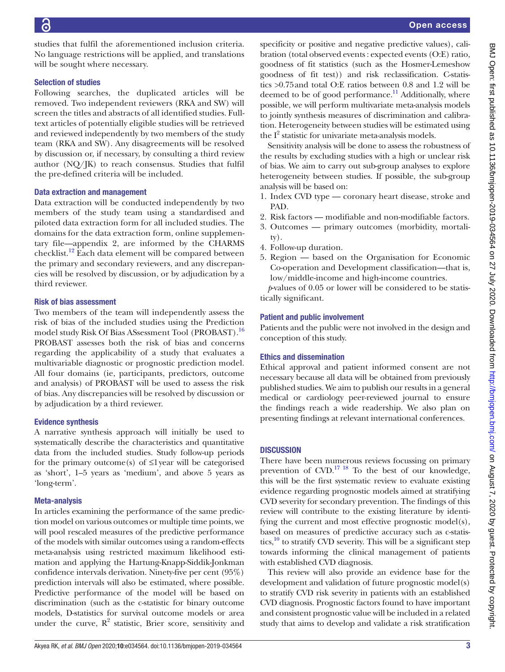studies that fulfil the aforementioned inclusion criteria. No language restrictions will be applied, and translations will be sought where necessary.

# Selection of studies

Following searches, the duplicated articles will be removed. Two independent reviewers (RKA and SW) will screen the titles and abstracts of all identified studies. Fulltext articles of potentially eligible studies will be retrieved and reviewed independently by two members of the study team (RKA and SW). Any disagreements will be resolved by discussion or, if necessary, by consulting a third review author  $(NQ/K)$  to reach consensus. Studies that fulfil the pre-defined criteria will be included.

# Data extraction and management

Data extraction will be conducted independently by two members of the study team using a standardised and piloted data extraction form for all included studies. The domains for the data extraction form, [online supplemen](https://dx.doi.org/10.1136/bmjopen-2019-034564)[tary file—appendix 2,](https://dx.doi.org/10.1136/bmjopen-2019-034564) are informed by the CHARMS checklist.<sup>12</sup> Each data element will be compared between the primary and secondary reviewers, and any discrepancies will be resolved by discussion, or by adjudication by a third reviewer.

# Risk of bias assessment

Two members of the team will independently assess the risk of bias of the included studies using the Prediction model study Risk Of Bias ASsessment Tool (PROBAST).<sup>16</sup> PROBAST assesses both the risk of bias and concerns regarding the applicability of a study that evaluates a multivariable diagnostic or prognostic prediction model. All four domains (ie, participants, predictors, outcome and analysis) of PROBAST will be used to assess the risk of bias. Any discrepancies will be resolved by discussion or by adjudication by a third reviewer.

# Evidence synthesis

A narrative synthesis approach will initially be used to systematically describe the characteristics and quantitative data from the included studies. Study follow-up periods for the primary outcome(s) of  $\leq$ 1 year will be categorised as 'short', 1–5 years as 'medium', and above 5 years as 'long-term'.

# Meta-analysis

In articles examining the performance of the same prediction model on various outcomes or multiple time points, we will pool rescaled measures of the predictive performance of the models with similar outcomes using a random-effects meta-analysis using restricted maximum likelihood estimation and applying the Hartung-Knapp-Siddik-Jonkman confidence intervals derivation. Ninety-five per cent (95%) prediction intervals will also be estimated, where possible. Predictive performance of the model will be based on discrimination (such as the c-statistic for binary outcome models, D-statistics for survival outcome models or area under the curve,  $R^2$  statistic, Brier score, sensitivity and specificity or positive and negative predictive values), calibration (total observed events : expected events (O:E) ratio, goodness of fit statistics (such as the Hosmer-Lemeshow goodness of fit test)) and risk reclassification. C-statistics >0.75and total O:E ratios between 0.8 and 1.2 will be deemed to be of good performance.<sup>11</sup> Additionally, where possible, we will perform multivariate meta-analysis models to jointly synthesis measures of discrimination and calibration. Heterogeneity between studies will be estimated using the  $I^2$  statistic for univariate meta-analysis models.

Sensitivity analysis will be done to assess the robustness of the results by excluding studies with a high or unclear risk of bias. We aim to carry out sub-group analyses to explore heterogeneity between studies. If possible, the sub-group analysis will be based on:

- 1. Index CVD type coronary heart disease, stroke and PAD.
- 2. Risk factors modifiable and non-modifiable factors.
- 3. Outcomes primary outcomes (morbidity, mortality).
- 4. Follow-up duration.
- 5. Region based on the Organisation for Economic Co-operation and Development classification—that is, low/middle-income and high-income countries.

*p*-values of 0.05 or lower will be considered to be statistically significant.

# Patient and public involvement

Patients and the public were not involved in the design and conception of this study.

# Ethics and dissemination

Ethical approval and patient informed consent are not necessary because all data will be obtained from previously published studies. We aim to publish our results in a general medical or cardiology peer-reviewed journal to ensure the findings reach a wide readership. We also plan on presenting findings at relevant international conferences.

# **DISCUSSION**

There have been numerous reviews focussing on primary prevention of  $CVD$ .<sup>17 18</sup> To the best of our knowledge, this will be the first systematic review to evaluate existing evidence regarding prognostic models aimed at stratifying CVD severity for secondary prevention. The findings of this review will contribute to the existing literature by identifying the current and most effective prognostic model(s), based on measures of predictive accuracy such as c-statistics, $10$  to stratify CVD severity. This will be a significant step towards informing the clinical management of patients with established CVD diagnosis.

This review will also provide an evidence base for the development and validation of future prognostic model(s) to stratify CVD risk severity in patients with an established CVD diagnosis. Prognostic factors found to have important and consistent prognostic value will be included in a related study that aims to develop and validate a risk stratification